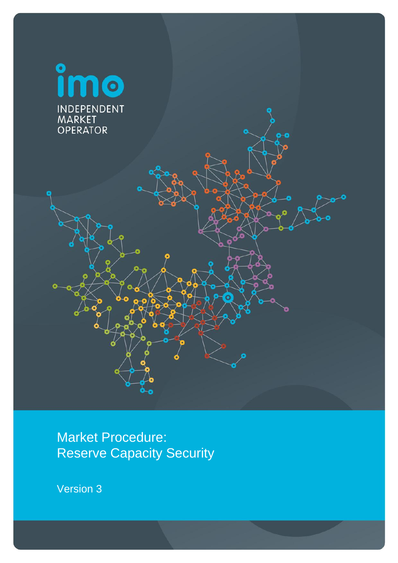

Market Procedure: Reserve Capacity Security

Version 3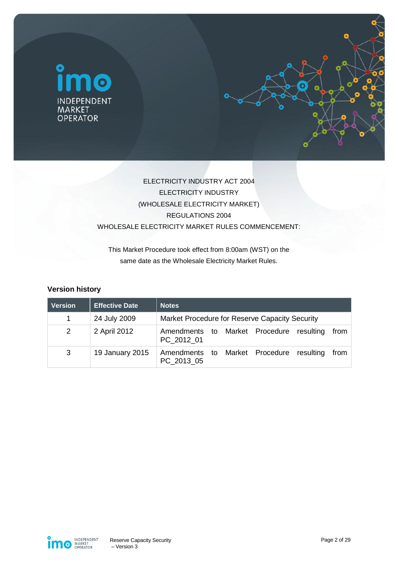



## ELECTRICITY INDUSTRY ACT 2004 ELECTRICITY INDUSTRY (WHOLESALE ELECTRICITY MARKET) REGULATIONS 2004 WHOLESALE ELECTRICITY MARKET RULES COMMENCEMENT:

This Market Procedure took effect from 8:00am (WST) on the same date as the Wholesale Electricity Market Rules.

#### **Version history**

| <b>Version</b> | <b>Effective Date</b> | <b>Notes</b>                                                            |  |  |
|----------------|-----------------------|-------------------------------------------------------------------------|--|--|
| 1              | 24 July 2009          | Market Procedure for Reserve Capacity Security                          |  |  |
| $\overline{2}$ | 2 April 2012          | Amendments to Market Procedure<br>resulting<br>from<br>PC 2012 01       |  |  |
| 3              | 19 January 2015       | Market Procedure<br>Amendments<br>resulting<br>from<br>to<br>PC 2013 05 |  |  |

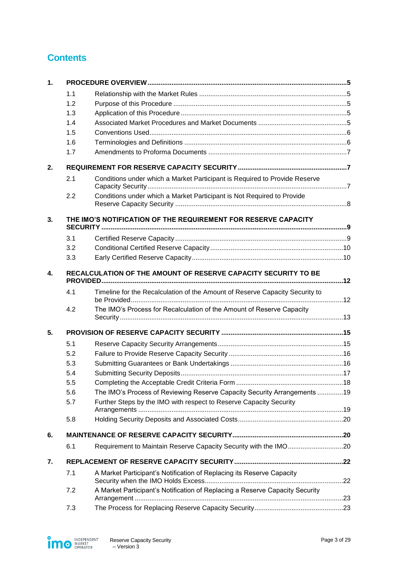# **Contents**

| 1. |                                                                |                                                                              |  |  |  |
|----|----------------------------------------------------------------|------------------------------------------------------------------------------|--|--|--|
|    | 1.1                                                            |                                                                              |  |  |  |
|    | 1.2                                                            |                                                                              |  |  |  |
|    | 1.3                                                            |                                                                              |  |  |  |
|    | 1.4                                                            |                                                                              |  |  |  |
|    | 1.5                                                            |                                                                              |  |  |  |
|    | 1.6                                                            |                                                                              |  |  |  |
|    | 1.7                                                            |                                                                              |  |  |  |
| 2. |                                                                |                                                                              |  |  |  |
|    | 2.1                                                            | Conditions under which a Market Participant is Required to Provide Reserve   |  |  |  |
|    | 2.2                                                            | Conditions under which a Market Participant is Not Required to Provide       |  |  |  |
| 3. | THE IMO'S NOTIFICATION OF THE REQUIREMENT FOR RESERVE CAPACITY |                                                                              |  |  |  |
|    | 3.1                                                            |                                                                              |  |  |  |
|    | 3.2                                                            |                                                                              |  |  |  |
|    | 3.3                                                            |                                                                              |  |  |  |
| 4. |                                                                | RECALCULATION OF THE AMOUNT OF RESERVE CAPACITY SECURITY TO BE               |  |  |  |
|    | 4.1                                                            | Timeline for the Recalculation of the Amount of Reserve Capacity Security to |  |  |  |
|    | 4.2                                                            | The IMO's Process for Recalculation of the Amount of Reserve Capacity        |  |  |  |
| 5. |                                                                |                                                                              |  |  |  |
|    | 5.1                                                            |                                                                              |  |  |  |
|    | 5.2                                                            |                                                                              |  |  |  |
|    | 5.3                                                            |                                                                              |  |  |  |
|    | 5.4                                                            |                                                                              |  |  |  |
|    | 5.5                                                            |                                                                              |  |  |  |
|    | 5.6                                                            | The IMO's Process of Reviewing Reserve Capacity Security Arrangements 19     |  |  |  |
|    | 5.7                                                            | Further Steps by the IMO with respect to Reserve Capacity Security           |  |  |  |
|    | 5.8                                                            |                                                                              |  |  |  |
| 6. |                                                                |                                                                              |  |  |  |
|    | 6.1                                                            | Requirement to Maintain Reserve Capacity Security with the IMO20             |  |  |  |
| 7. |                                                                |                                                                              |  |  |  |
|    | 7.1                                                            | A Market Participant's Notification of Replacing its Reserve Capacity        |  |  |  |
|    | 7.2                                                            | A Market Participant's Notification of Replacing a Reserve Capacity Security |  |  |  |
|    | 7.3                                                            |                                                                              |  |  |  |

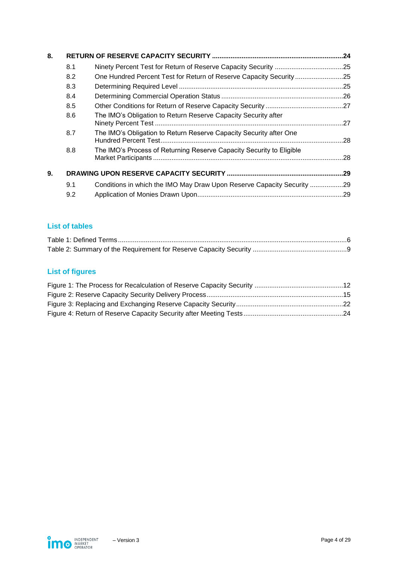| 8. |     |                                                                        |  |  |
|----|-----|------------------------------------------------------------------------|--|--|
|    | 8.1 |                                                                        |  |  |
|    | 8.2 | One Hundred Percent Test for Return of Reserve Capacity Security25     |  |  |
|    | 8.3 |                                                                        |  |  |
|    | 8.4 |                                                                        |  |  |
|    | 8.5 |                                                                        |  |  |
|    | 8.6 | The IMO's Obligation to Return Reserve Capacity Security after         |  |  |
|    | 8.7 | The IMO's Obligation to Return Reserve Capacity Security after One     |  |  |
|    | 8.8 | The IMO's Process of Returning Reserve Capacity Security to Eligible   |  |  |
| 9. |     |                                                                        |  |  |
|    | 9.1 | Conditions in which the IMO May Draw Upon Reserve Capacity Security 29 |  |  |
|    | 9.2 |                                                                        |  |  |

## **List of tables**

# **List of figures**

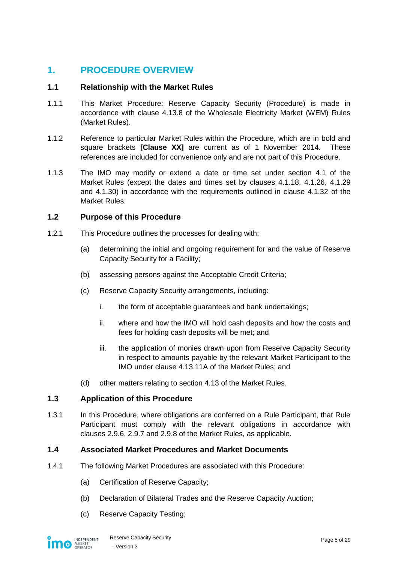## <span id="page-4-0"></span>**1. PROCEDURE OVERVIEW**

#### <span id="page-4-1"></span>**1.1 Relationship with the Market Rules**

- 1.1.1 This Market Procedure: Reserve Capacity Security (Procedure) is made in accordance with clause 4.13.8 of the Wholesale Electricity Market (WEM) Rules (Market Rules).
- 1.1.2 Reference to particular Market Rules within the Procedure, which are in bold and square brackets **[Clause XX]** are current as of 1 November 2014. These references are included for convenience only and are not part of this Procedure.
- 1.1.3 The IMO may modify or extend a date or time set under section 4.1 of the Market Rules (except the dates and times set by clauses 4.1.18, 4.1.26, 4.1.29 and 4.1.30) in accordance with the requirements outlined in clause 4.1.32 of the Market Rules.

#### <span id="page-4-2"></span>**1.2 Purpose of this Procedure**

- 1.2.1 This Procedure outlines the processes for dealing with:
	- (a) determining the initial and ongoing requirement for and the value of Reserve Capacity Security for a Facility;
	- (b) assessing persons against the Acceptable Credit Criteria;
	- (c) Reserve Capacity Security arrangements, including:
		- i. the form of acceptable guarantees and bank undertakings;
		- ii. where and how the IMO will hold cash deposits and how the costs and fees for holding cash deposits will be met; and
		- iii. the application of monies drawn upon from Reserve Capacity Security in respect to amounts payable by the relevant Market Participant to the IMO under clause 4.13.11A of the Market Rules; and
	- (d) other matters relating to section 4.13 of the Market Rules.

#### <span id="page-4-3"></span>**1.3 Application of this Procedure**

1.3.1 In this Procedure, where obligations are conferred on a Rule Participant, that Rule Participant must comply with the relevant obligations in accordance with clauses 2.9.6, 2.9.7 and 2.9.8 of the Market Rules, as applicable.

#### <span id="page-4-4"></span>**1.4 Associated Market Procedures and Market Documents**

- 1.4.1 The following Market Procedures are associated with this Procedure:
	- (a) Certification of Reserve Capacity;
	- (b) Declaration of Bilateral Trades and the Reserve Capacity Auction;
	- (c) Reserve Capacity Testing;

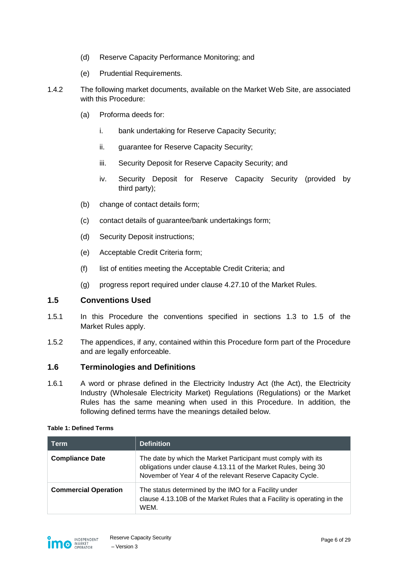- (d) Reserve Capacity Performance Monitoring; and
- (e) Prudential Requirements.
- <span id="page-5-3"></span>1.4.2 The following market documents, available on the Market Web Site, are associated with this Procedure:
	- (a) Proforma deeds for:
		- i. bank undertaking for Reserve Capacity Security;
		- ii. guarantee for Reserve Capacity Security;
		- iii. Security Deposit for Reserve Capacity Security; and
		- iv. Security Deposit for Reserve Capacity Security (provided by third party);
	- (b) change of contact details form;
	- (c) contact details of guarantee/bank undertakings form;
	- (d) Security Deposit instructions;
	- (e) Acceptable Credit Criteria form;
	- (f) list of entities meeting the Acceptable Credit Criteria; and
	- (g) progress report required under clause 4.27.10 of the Market Rules.

#### <span id="page-5-0"></span>**1.5 Conventions Used**

- 1.5.1 In this Procedure the conventions specified in sections 1.3 to 1.5 of the Market Rules apply.
- 1.5.2 The appendices, if any, contained within this Procedure form part of the Procedure and are legally enforceable.

#### <span id="page-5-1"></span>**1.6 Terminologies and Definitions**

1.6.1 A word or phrase defined in the Electricity Industry Act (the Act), the Electricity Industry (Wholesale Electricity Market) Regulations (Regulations) or the Market Rules has the same meaning when used in this Procedure. In addition, the following defined terms have the meanings detailed below.

#### <span id="page-5-2"></span>**Table 1: Defined Terms**

| <b>Term</b>                 | <b>Definition</b>                                                                                                                                                                             |  |
|-----------------------------|-----------------------------------------------------------------------------------------------------------------------------------------------------------------------------------------------|--|
| <b>Compliance Date</b>      | The date by which the Market Participant must comply with its<br>obligations under clause 4.13.11 of the Market Rules, being 30<br>November of Year 4 of the relevant Reserve Capacity Cycle. |  |
| <b>Commercial Operation</b> | The status determined by the IMO for a Facility under<br>clause 4.13.10B of the Market Rules that a Facility is operating in the<br>WEM.                                                      |  |

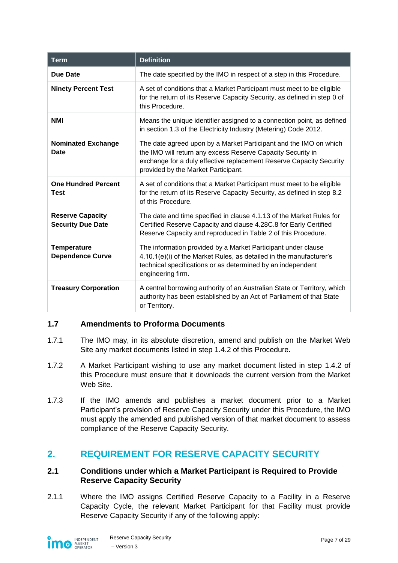| <b>Term</b>                                         | <b>Definition</b>                                                                                                                                                                                                                              |  |
|-----------------------------------------------------|------------------------------------------------------------------------------------------------------------------------------------------------------------------------------------------------------------------------------------------------|--|
| <b>Due Date</b>                                     | The date specified by the IMO in respect of a step in this Procedure.                                                                                                                                                                          |  |
| <b>Ninety Percent Test</b>                          | A set of conditions that a Market Participant must meet to be eligible<br>for the return of its Reserve Capacity Security, as defined in step 0 of<br>this Procedure.                                                                          |  |
| <b>NMI</b>                                          | Means the unique identifier assigned to a connection point, as defined<br>in section 1.3 of the Electricity Industry (Metering) Code 2012.                                                                                                     |  |
| <b>Nominated Exchange</b><br>Date                   | The date agreed upon by a Market Participant and the IMO on which<br>the IMO will return any excess Reserve Capacity Security in<br>exchange for a duly effective replacement Reserve Capacity Security<br>provided by the Market Participant. |  |
| <b>One Hundred Percent</b><br><b>Test</b>           | A set of conditions that a Market Participant must meet to be eligible<br>for the return of its Reserve Capacity Security, as defined in step 8.2<br>of this Procedure.                                                                        |  |
| <b>Reserve Capacity</b><br><b>Security Due Date</b> | The date and time specified in clause 4.1.13 of the Market Rules for<br>Certified Reserve Capacity and clause 4.28C.8 for Early Certified<br>Reserve Capacity and reproduced in Table 2 of this Procedure.                                     |  |
| <b>Temperature</b><br><b>Dependence Curve</b>       | The information provided by a Market Participant under clause<br>4.10.1(e)(i) of the Market Rules, as detailed in the manufacturer's<br>technical specifications or as determined by an independent<br>engineering firm.                       |  |
| <b>Treasury Corporation</b>                         | A central borrowing authority of an Australian State or Territory, which<br>authority has been established by an Act of Parliament of that State<br>or Territory.                                                                              |  |

#### <span id="page-6-0"></span>**1.7 Amendments to Proforma Documents**

- 1.7.1 The IMO may, in its absolute discretion, amend and publish on the Market Web Site any market documents listed in step [1.4.2](#page-5-3) of this Procedure.
- 1.7.2 A Market Participant wishing to use any market document listed in step [1.4.2](#page-5-3) of this Procedure must ensure that it downloads the current version from the Market Web Site.
- 1.7.3 If the IMO amends and publishes a market document prior to a Market Participant's provision of Reserve Capacity Security under this Procedure, the IMO must apply the amended and published version of that market document to assess compliance of the Reserve Capacity Security.

## <span id="page-6-1"></span>**2. REQUIREMENT FOR RESERVE CAPACITY SECURITY**

#### <span id="page-6-2"></span>**2.1 Conditions under which a Market Participant is Required to Provide Reserve Capacity Security**

2.1.1 Where the IMO assigns Certified Reserve Capacity to a Facility in a Reserve Capacity Cycle, the relevant Market Participant for that Facility must provide Reserve Capacity Security if any of the following apply:

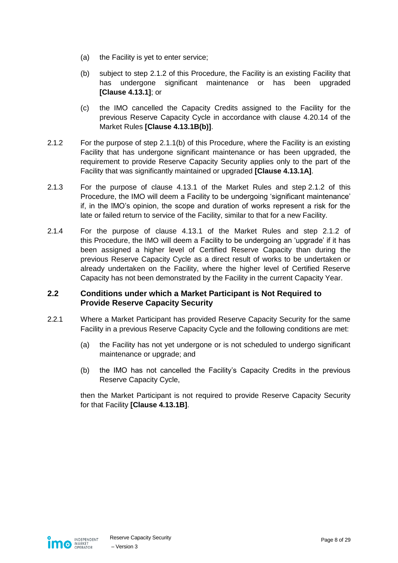- (a) the Facility is yet to enter service;
- <span id="page-7-2"></span>(b) subject to step [2.1.2](#page-7-1) of this Procedure, the Facility is an existing Facility that has undergone significant maintenance or has been upgraded **[Clause 4.13.1]**; or
- (c) the IMO cancelled the Capacity Credits assigned to the Facility for the previous Reserve Capacity Cycle in accordance with clause 4.20.14 of the Market Rules **[Clause 4.13.1B(b)]**.
- <span id="page-7-1"></span>2.1.2 For the purpose of step [2.1.1\(b\)](#page-7-2) of this Procedure, where the Facility is an existing Facility that has undergone significant maintenance or has been upgraded, the requirement to provide Reserve Capacity Security applies only to the part of the Facility that was significantly maintained or upgraded **[Clause 4.13.1A]**.
- 2.1.3 For the purpose of clause 4.13.1 of the Market Rules and step [2.1.2](#page-7-1) of this Procedure, the IMO will deem a Facility to be undergoing 'significant maintenance' if, in the IMO's opinion, the scope and duration of works represent a risk for the late or failed return to service of the Facility, similar to that for a new Facility.
- 2.1.4 For the purpose of clause 4.13.1 of the Market Rules and step [2.1.2](#page-7-1) of this Procedure, the IMO will deem a Facility to be undergoing an 'upgrade' if it has been assigned a higher level of Certified Reserve Capacity than during the previous Reserve Capacity Cycle as a direct result of works to be undertaken or already undertaken on the Facility, where the higher level of Certified Reserve Capacity has not been demonstrated by the Facility in the current Capacity Year.

#### <span id="page-7-0"></span>**2.2 Conditions under which a Market Participant is Not Required to Provide Reserve Capacity Security**

- 2.2.1 Where a Market Participant has provided Reserve Capacity Security for the same Facility in a previous Reserve Capacity Cycle and the following conditions are met:
	- (a) the Facility has not yet undergone or is not scheduled to undergo significant maintenance or upgrade; and
	- (b) the IMO has not cancelled the Facility's Capacity Credits in the previous Reserve Capacity Cycle,

then the Market Participant is not required to provide Reserve Capacity Security for that Facility **[Clause 4.13.1B]**.

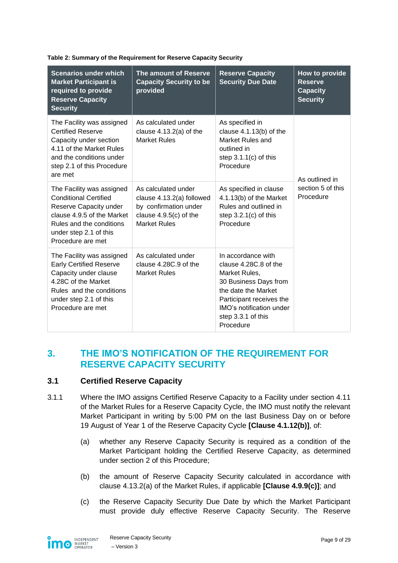| <b>Scenarios under which</b><br><b>Market Participant is</b><br>required to provide<br><b>Reserve Capacity</b><br><b>Security</b>                                                            | The amount of Reserve<br><b>Capacity Security to be</b><br>provided                                                          | <b>Reserve Capacity</b><br><b>Security Due Date</b>                                                                                                                                                     | How to provide<br><b>Reserve</b><br><b>Capacity</b><br><b>Security</b> |  |
|----------------------------------------------------------------------------------------------------------------------------------------------------------------------------------------------|------------------------------------------------------------------------------------------------------------------------------|---------------------------------------------------------------------------------------------------------------------------------------------------------------------------------------------------------|------------------------------------------------------------------------|--|
| The Facility was assigned<br><b>Certified Reserve</b><br>Capacity under section<br>4.11 of the Market Rules<br>and the conditions under<br>step 2.1 of this Procedure<br>are met             | As calculated under<br>clause $4.13.2(a)$ of the<br><b>Market Rules</b>                                                      | As specified in<br>clause $4.1.13(b)$ of the<br>Market Rules and<br>outlined in<br>step $3.1.1(c)$ of this<br>Procedure                                                                                 | As outlined in<br>section 5 of this<br>Procedure                       |  |
| The Facility was assigned<br><b>Conditional Certified</b><br>Reserve Capacity under<br>clause 4.9.5 of the Market<br>Rules and the conditions<br>under step 2.1 of this<br>Procedure are met | As calculated under<br>clause 4.13.2(a) followed<br>by confirmation under<br>clause $4.9.5(c)$ of the<br><b>Market Rules</b> | As specified in clause<br>4.1.13(b) of the Market<br>Rules and outlined in<br>step $3.2.1(c)$ of this<br>Procedure                                                                                      |                                                                        |  |
| The Facility was assigned<br><b>Early Certified Reserve</b><br>Capacity under clause<br>4.28C of the Market<br>Rules and the conditions<br>under step 2.1 of this<br>Procedure are met       | As calculated under<br>clause 4.28C.9 of the<br><b>Market Rules</b>                                                          | In accordance with<br>clause 4.28C.8 of the<br>Market Rules,<br>30 Business Days from<br>the date the Market<br>Participant receives the<br>IMO's notification under<br>step 3.3.1 of this<br>Procedure |                                                                        |  |

#### <span id="page-8-2"></span>**Table 2: Summary of the Requirement for Reserve Capacity Security**

## <span id="page-8-0"></span>**3. THE IMO'S NOTIFICATION OF THE REQUIREMENT FOR RESERVE CAPACITY SECURITY**

#### <span id="page-8-1"></span>**3.1 Certified Reserve Capacity**

- <span id="page-8-4"></span>3.1.1 Where the IMO assigns Certified Reserve Capacity to a Facility under section 4.11 of the Market Rules for a Reserve Capacity Cycle, the IMO must notify the relevant Market Participant in writing by 5:00 PM on the last Business Day on or before 19 August of Year 1 of the Reserve Capacity Cycle **[Clause 4.1.12(b)]**, of:
	- (a) whether any Reserve Capacity Security is required as a condition of the Market Participant holding the Certified Reserve Capacity, as determined under section [2](#page-6-1) of this Procedure;
	- (b) the amount of Reserve Capacity Security calculated in accordance with clause 4.13.2(a) of the Market Rules, if applicable **[Clause 4.9.9(c)]**; and
	- (c) the Reserve Capacity Security Due Date by which the Market Participant must provide duly effective Reserve Capacity Security. The Reserve

<span id="page-8-3"></span>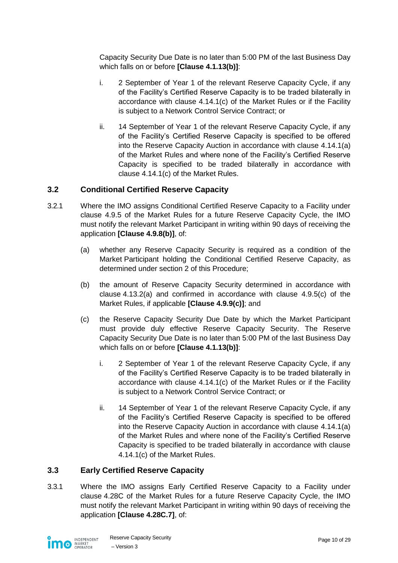Capacity Security Due Date is no later than 5:00 PM of the last Business Day which falls on or before **[Clause 4.1.13(b)]**:

- i. 2 September of Year 1 of the relevant Reserve Capacity Cycle, if any of the Facility's Certified Reserve Capacity is to be traded bilaterally in accordance with clause 4.14.1(c) of the Market Rules or if the Facility is subject to a Network Control Service Contract; or
- ii. 14 September of Year 1 of the relevant Reserve Capacity Cycle, if any of the Facility's Certified Reserve Capacity is specified to be offered into the Reserve Capacity Auction in accordance with clause 4.14.1(a) of the Market Rules and where none of the Facility's Certified Reserve Capacity is specified to be traded bilaterally in accordance with clause 4.14.1(c) of the Market Rules.

#### <span id="page-9-0"></span>**3.2 Conditional Certified Reserve Capacity**

- <span id="page-9-4"></span><span id="page-9-2"></span>3.2.1 Where the IMO assigns Conditional Certified Reserve Capacity to a Facility under clause 4.9.5 of the Market Rules for a future Reserve Capacity Cycle, the IMO must notify the relevant Market Participant in writing within 90 days of receiving the application **[Clause 4.9.8(b)]**, of:
	- (a) whether any Reserve Capacity Security is required as a condition of the Market Participant holding the Conditional Certified Reserve Capacity, as determined under section [2](#page-6-1) of this Procedure;
	- (b) the amount of Reserve Capacity Security determined in accordance with clause 4.13.2(a) and confirmed in accordance with clause 4.9.5(c) of the Market Rules, if applicable **[Clause 4.9.9(c)]**; and
	- (c) the Reserve Capacity Security Due Date by which the Market Participant must provide duly effective Reserve Capacity Security. The Reserve Capacity Security Due Date is no later than 5:00 PM of the last Business Day which falls on or before **[Clause 4.1.13(b)]**:
		- i. 2 September of Year 1 of the relevant Reserve Capacity Cycle, if any of the Facility's Certified Reserve Capacity is to be traded bilaterally in accordance with clause 4.14.1(c) of the Market Rules or if the Facility is subject to a Network Control Service Contract; or
		- ii. 14 September of Year 1 of the relevant Reserve Capacity Cycle, if any of the Facility's Certified Reserve Capacity is specified to be offered into the Reserve Capacity Auction in accordance with clause 4.14.1(a) of the Market Rules and where none of the Facility's Certified Reserve Capacity is specified to be traded bilaterally in accordance with clause 4.14.1(c) of the Market Rules.

#### <span id="page-9-1"></span>**3.3 Early Certified Reserve Capacity**

<span id="page-9-3"></span>3.3.1 Where the IMO assigns Early Certified Reserve Capacity to a Facility under clause 4.28C of the Market Rules for a future Reserve Capacity Cycle, the IMO must notify the relevant Market Participant in writing within 90 days of receiving the application **[Clause 4.28C.7]**, of:

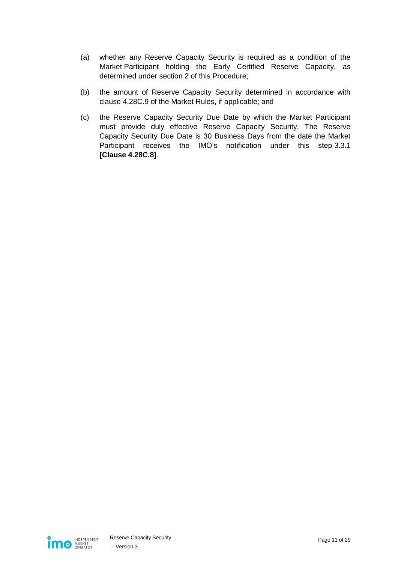- (a) whether any Reserve Capacity Security is required as a condition of the Market Participant holding the Early Certified Reserve Capacity, as determined under section [2](#page-6-1) of this Procedure;
- (b) the amount of Reserve Capacity Security determined in accordance with clause 4.28C.9 of the Market Rules, if applicable; and
- (c) the Reserve Capacity Security Due Date by which the Market Participant must provide duly effective Reserve Capacity Security. The Reserve Capacity Security Due Date is 30 Business Days from the date the Market Participant receives the IMO's notification under this step [3.3.1](#page-9-3) **[Clause 4.28C.8]**.

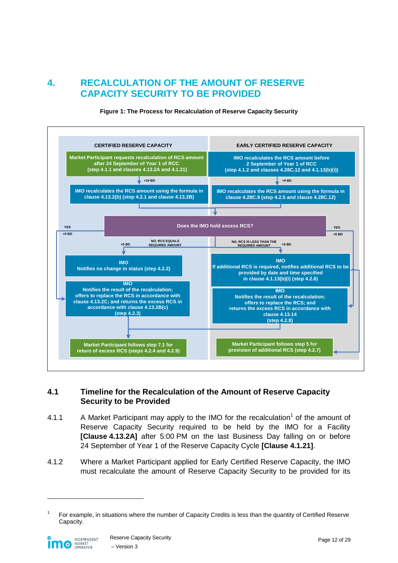## <span id="page-11-0"></span>**4. RECALCULATION OF THE AMOUNT OF RESERVE CAPACITY SECURITY TO BE PROVIDED**

<span id="page-11-2"></span>

**Figure 1: The Process for Recalculation of Reserve Capacity Security**

#### <span id="page-11-1"></span>**4.1 Timeline for the Recalculation of the Amount of Reserve Capacity Security to be Provided**

- <span id="page-11-3"></span>4.1.1 A Market Participant may apply to the IMO for the recalculation<sup>1</sup> of the amount of Reserve Capacity Security required to be held by the IMO for a Facility **[Clause 4.13.2A]** after 5:00 PM on the last Business Day falling on or before 24 September of Year 1 of the Reserve Capacity Cycle **[Clause 4.1.21]**.
- <span id="page-11-4"></span>4.1.2 Where a Market Participant applied for Early Certified Reserve Capacity, the IMO must recalculate the amount of Reserve Capacity Security to be provided for its

<sup>1</sup> For example, in situations where the number of Capacity Credits is less than the quantity of Certified Reserve Capacity.

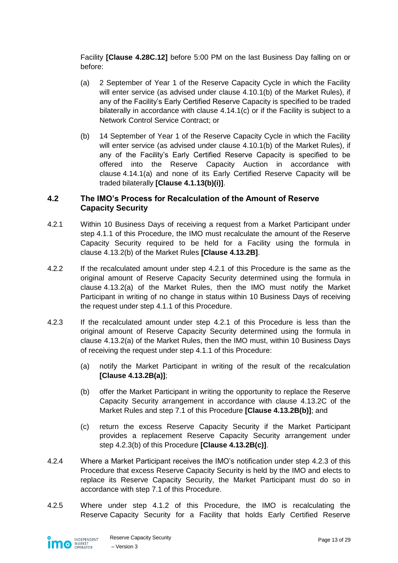Facility **[Clause 4.28C.12]** before 5:00 PM on the last Business Day falling on or before:

- (a) 2 September of Year 1 of the Reserve Capacity Cycle in which the Facility will enter service (as advised under clause 4.10.1(b) of the Market Rules), if any of the Facility's Early Certified Reserve Capacity is specified to be traded bilaterally in accordance with clause 4.14.1(c) or if the Facility is subject to a Network Control Service Contract; or
- (b) 14 September of Year 1 of the Reserve Capacity Cycle in which the Facility will enter service (as advised under clause 4.10.1(b) of the Market Rules), if any of the Facility's Early Certified Reserve Capacity is specified to be offered into the Reserve Capacity Auction in accordance with clause 4.14.1(a) and none of its Early Certified Reserve Capacity will be traded bilaterally **[Clause 4.1.13(b)(i)]**.

#### <span id="page-12-0"></span>**4.2 The IMO's Process for Recalculation of the Amount of Reserve Capacity Security**

- <span id="page-12-1"></span>4.2.1 Within 10 Business Days of receiving a request from a Market Participant under step [4.1.1](#page-11-3) of this Procedure, the IMO must recalculate the amount of the Reserve Capacity Security required to be held for a Facility using the formula in clause 4.13.2(b) of the Market Rules **[Clause 4.13.2B]**.
- 4.2.2 If the recalculated amount under step [4.2.1](#page-12-1) of this Procedure is the same as the original amount of Reserve Capacity Security determined using the formula in clause 4.13.2(a) of the Market Rules, then the IMO must notify the Market Participant in writing of no change in status within 10 Business Days of receiving the request under step [4.1.1](#page-11-3) of this Procedure.
- <span id="page-12-3"></span><span id="page-12-2"></span>4.2.3 If the recalculated amount under step [4.2.1](#page-12-1) of this Procedure is less than the original amount of Reserve Capacity Security determined using the formula in clause 4.13.2(a) of the Market Rules, then the IMO must, within 10 Business Days of receiving the request under step [4.1.1](#page-11-3) of this Procedure:
	- (a) notify the Market Participant in writing of the result of the recalculation **[Clause 4.13.2B(a)]**;
	- (b) offer the Market Participant in writing the opportunity to replace the Reserve Capacity Security arrangement in accordance with clause 4.13.2C of the Market Rules and step [7.1](#page-21-1) of this Procedure **[Clause 4.13.2B(b)]**; and
	- (c) return the excess Reserve Capacity Security if the Market Participant provides a replacement Reserve Capacity Security arrangement under step [4.2.3\(b\)](#page-12-2) of this Procedure **[Clause 4.13.2B(c)]**.
- <span id="page-12-5"></span>4.2.4 Where a Market Participant receives the IMO's notification under step [4.2.3](#page-12-3) of this Procedure that excess Reserve Capacity Security is held by the IMO and elects to replace its Reserve Capacity Security, the Market Participant must do so in accordance with step [7.1](#page-21-1) of this Procedure.
- <span id="page-12-4"></span>4.2.5 Where under step [4.1.2](#page-11-4) of this Procedure, the IMO is recalculating the Reserve Capacity Security for a Facility that holds Early Certified Reserve

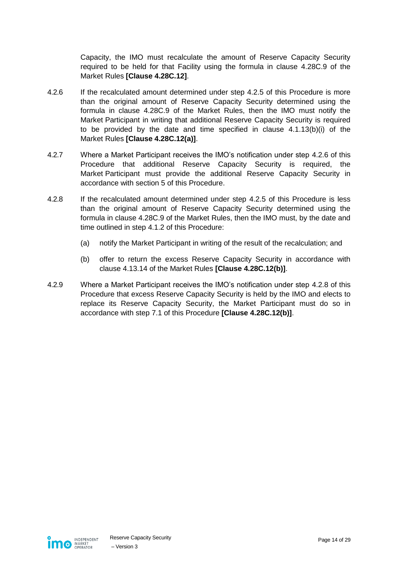Capacity, the IMO must recalculate the amount of Reserve Capacity Security required to be held for that Facility using the formula in clause 4.28C.9 of the Market Rules **[Clause 4.28C.12]**.

- <span id="page-13-0"></span>4.2.6 If the recalculated amount determined under step [4.2.5](#page-12-4) of this Procedure is more than the original amount of Reserve Capacity Security determined using the formula in clause 4.28C.9 of the Market Rules, then the IMO must notify the Market Participant in writing that additional Reserve Capacity Security is required to be provided by the date and time specified in clause 4.1.13(b)(i) of the Market Rules **[Clause 4.28C.12(a)]**.
- 4.2.7 Where a Market Participant receives the IMO's notification under step [4.2.6](#page-13-0) of this Procedure that additional Reserve Capacity Security is required, the Market Participant must provide the additional Reserve Capacity Security in accordance with section [5](#page-14-0) of this Procedure.
- <span id="page-13-1"></span>4.2.8 If the recalculated amount determined under step [4.2.5](#page-12-4) of this Procedure is less than the original amount of Reserve Capacity Security determined using the formula in clause 4.28C.9 of the Market Rules, then the IMO must, by the date and time outlined in step [4.1.2](#page-11-4) of this Procedure:
	- (a) notify the Market Participant in writing of the result of the recalculation; and
	- (b) offer to return the excess Reserve Capacity Security in accordance with clause 4.13.14 of the Market Rules **[Clause 4.28C.12(b)]**.
- <span id="page-13-2"></span>4.2.9 Where a Market Participant receives the IMO's notification under step [4.2.8](#page-13-1) of this Procedure that excess Reserve Capacity Security is held by the IMO and elects to replace its Reserve Capacity Security, the Market Participant must do so in accordance with step [7.1](#page-21-1) of this Procedure **[Clause 4.28C.12(b)]**.

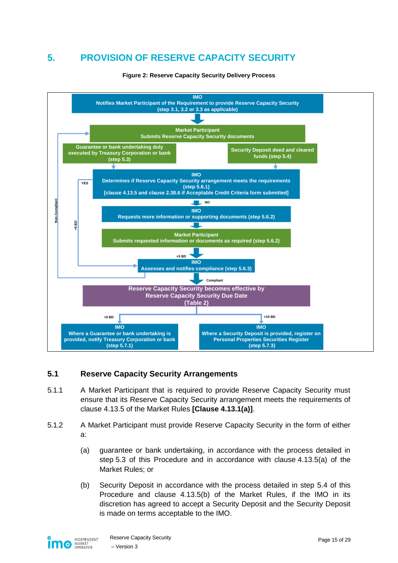# <span id="page-14-0"></span>**5. PROVISION OF RESERVE CAPACITY SECURITY**

<span id="page-14-2"></span>

#### **Figure 2: Reserve Capacity Security Delivery Process**

#### <span id="page-14-1"></span>**5.1 Reserve Capacity Security Arrangements**

- 5.1.1 A Market Participant that is required to provide Reserve Capacity Security must ensure that its Reserve Capacity Security arrangement meets the requirements of clause 4.13.5 of the Market Rules **[Clause 4.13.1(a)]**.
- <span id="page-14-3"></span>5.1.2 A Market Participant must provide Reserve Capacity Security in the form of either a:
	- (a) guarantee or bank undertaking, in accordance with the process detailed in step [5.3](#page-15-1) of this Procedure and in accordance with clause 4.13.5(a) of the Market Rules; or
	- (b) Security Deposit in accordance with the process detailed in step [5.4](#page-16-0) of this Procedure and clause 4.13.5(b) of the Market Rules, if the IMO in its discretion has agreed to accept a Security Deposit and the Security Deposit is made on terms acceptable to the IMO.

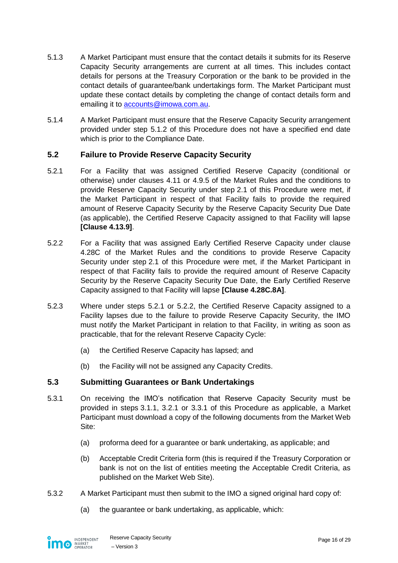- 5.1.3 A Market Participant must ensure that the contact details it submits for its Reserve Capacity Security arrangements are current at all times. This includes contact details for persons at the Treasury Corporation or the bank to be provided in the contact details of guarantee/bank undertakings form. The Market Participant must update these contact details by completing the change of contact details form and emailing it to [accounts@imowa.com.au.](mailto:accounts@imowa.com.au)
- 5.1.4 A Market Participant must ensure that the Reserve Capacity Security arrangement provided under step [5.1.2](#page-14-3) of this Procedure does not have a specified end date which is prior to the Compliance Date.

#### <span id="page-15-0"></span>**5.2 Failure to Provide Reserve Capacity Security**

- <span id="page-15-2"></span>5.2.1 For a Facility that was assigned Certified Reserve Capacity (conditional or otherwise) under clauses 4.11 or 4.9.5 of the Market Rules and the conditions to provide Reserve Capacity Security under step [2.1](#page-6-2) of this Procedure were met, if the Market Participant in respect of that Facility fails to provide the required amount of Reserve Capacity Security by the Reserve Capacity Security Due Date (as applicable), the Certified Reserve Capacity assigned to that Facility will lapse **[Clause 4.13.9]**.
- <span id="page-15-3"></span>5.2.2 For a Facility that was assigned Early Certified Reserve Capacity under clause 4.28C of the Market Rules and the conditions to provide Reserve Capacity Security under step [2.1](#page-6-2) of this Procedure were met, if the Market Participant in respect of that Facility fails to provide the required amount of Reserve Capacity Security by the Reserve Capacity Security Due Date, the Early Certified Reserve Capacity assigned to that Facility will lapse **[Clause 4.28C.8A]**.
- 5.2.3 Where under steps [5.2.1](#page-15-2) or [5.2.2,](#page-15-3) the Certified Reserve Capacity assigned to a Facility lapses due to the failure to provide Reserve Capacity Security, the IMO must notify the Market Participant in relation to that Facility, in writing as soon as practicable, that for the relevant Reserve Capacity Cycle:
	- (a) the Certified Reserve Capacity has lapsed; and
	- (b) the Facility will not be assigned any Capacity Credits.

#### <span id="page-15-1"></span>**5.3 Submitting Guarantees or Bank Undertakings**

- 5.3.1 On receiving the IMO's notification that Reserve Capacity Security must be provided in steps [3.1.1,](#page-8-4) [3.2.1](#page-9-4) or [3.3.1](#page-9-3) of this Procedure as applicable, a Market Participant must download a copy of the following documents from the Market Web Site:
	- (a) proforma deed for a guarantee or bank undertaking, as applicable; and
	- (b) Acceptable Credit Criteria form (this is required if the Treasury Corporation or bank is not on the list of entities meeting the Acceptable Credit Criteria, as published on the Market Web Site).
- <span id="page-15-4"></span>5.3.2 A Market Participant must then submit to the IMO a signed original hard copy of:
	- (a) the guarantee or bank undertaking, as applicable, which:

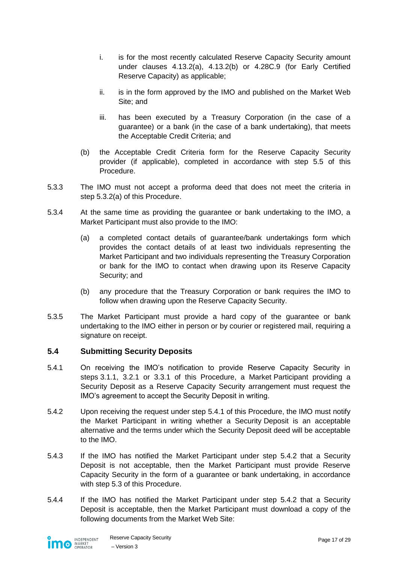- i. is for the most recently calculated Reserve Capacity Security amount under clauses 4.13.2(a), 4.13.2(b) or 4.28C.9 (for Early Certified Reserve Capacity) as applicable;
- ii. is in the form approved by the IMO and published on the Market Web Site; and
- iii. has been executed by a Treasury Corporation (in the case of a guarantee) or a bank (in the case of a bank undertaking), that meets the Acceptable Credit Criteria; and
- (b) the Acceptable Credit Criteria form for the Reserve Capacity Security provider (if applicable), completed in accordance with step [5.5](#page-17-0) of this Procedure.
- 5.3.3 The IMO must not accept a proforma deed that does not meet the criteria in step [5.3.2\(a\)](#page-15-4) of this Procedure.
- 5.3.4 At the same time as providing the guarantee or bank undertaking to the IMO, a Market Participant must also provide to the IMO:
	- (a) a completed contact details of guarantee/bank undertakings form which provides the contact details of at least two individuals representing the Market Participant and two individuals representing the Treasury Corporation or bank for the IMO to contact when drawing upon its Reserve Capacity Security; and
	- (b) any procedure that the Treasury Corporation or bank requires the IMO to follow when drawing upon the Reserve Capacity Security.
- 5.3.5 The Market Participant must provide a hard copy of the guarantee or bank undertaking to the IMO either in person or by courier or registered mail, requiring a signature on receipt.

#### <span id="page-16-0"></span>**5.4 Submitting Security Deposits**

- <span id="page-16-1"></span>5.4.1 On receiving the IMO's notification to provide Reserve Capacity Security in steps [3.1.1,](#page-8-4) [3.2.1](#page-9-4) or [3.3.1](#page-9-3) of this Procedure, a Market Participant providing a Security Deposit as a Reserve Capacity Security arrangement must request the IMO's agreement to accept the Security Deposit in writing.
- <span id="page-16-2"></span>5.4.2 Upon receiving the request under step [5.4.1](#page-16-1) of this Procedure, the IMO must notify the Market Participant in writing whether a Security Deposit is an acceptable alternative and the terms under which the Security Deposit deed will be acceptable to the IMO.
- 5.4.3 If the IMO has notified the Market Participant under step [5.4.2](#page-16-2) that a Security Deposit is not acceptable, then the Market Participant must provide Reserve Capacity Security in the form of a guarantee or bank undertaking, in accordance with step [5.3](#page-15-1) of this Procedure.
- 5.4.4 If the IMO has notified the Market Participant under step [5.4.2](#page-16-2) that a Security Deposit is acceptable, then the Market Participant must download a copy of the following documents from the Market Web Site:

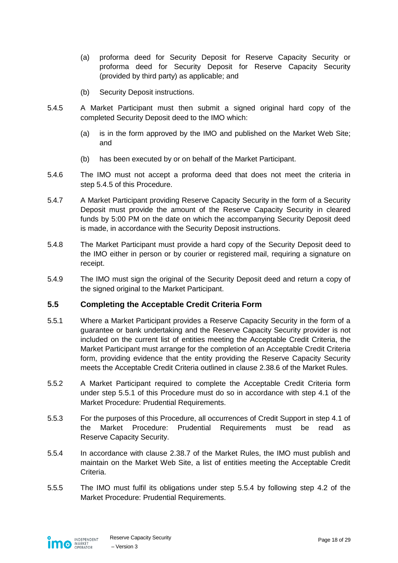- (a) proforma deed for Security Deposit for Reserve Capacity Security or proforma deed for Security Deposit for Reserve Capacity Security (provided by third party) as applicable; and
- (b) Security Deposit instructions.
- <span id="page-17-1"></span>5.4.5 A Market Participant must then submit a signed original hard copy of the completed Security Deposit deed to the IMO which:
	- (a) is in the form approved by the IMO and published on the Market Web Site; and
	- (b) has been executed by or on behalf of the Market Participant.
- 5.4.6 The IMO must not accept a proforma deed that does not meet the criteria in step [5.4.5](#page-17-1) of this Procedure.
- 5.4.7 A Market Participant providing Reserve Capacity Security in the form of a Security Deposit must provide the amount of the Reserve Capacity Security in cleared funds by 5:00 PM on the date on which the accompanying Security Deposit deed is made, in accordance with the Security Deposit instructions.
- 5.4.8 The Market Participant must provide a hard copy of the Security Deposit deed to the IMO either in person or by courier or registered mail, requiring a signature on receipt.
- 5.4.9 The IMO must sign the original of the Security Deposit deed and return a copy of the signed original to the Market Participant.

#### <span id="page-17-0"></span>**5.5 Completing the Acceptable Credit Criteria Form**

- <span id="page-17-2"></span>5.5.1 Where a Market Participant provides a Reserve Capacity Security in the form of a guarantee or bank undertaking and the Reserve Capacity Security provider is not included on the current list of entities meeting the Acceptable Credit Criteria, the Market Participant must arrange for the completion of an Acceptable Credit Criteria form, providing evidence that the entity providing the Reserve Capacity Security meets the Acceptable Credit Criteria outlined in clause 2.38.6 of the Market Rules.
- 5.5.2 A Market Participant required to complete the Acceptable Credit Criteria form under step [5.5.1](#page-17-2) of this Procedure must do so in accordance with step 4.1 of the Market Procedure: Prudential Requirements.
- 5.5.3 For the purposes of this Procedure, all occurrences of Credit Support in step 4.1 of the Market Procedure: Prudential Requirements must be read as Reserve Capacity Security.
- <span id="page-17-3"></span>5.5.4 In accordance with clause 2.38.7 of the Market Rules, the IMO must publish and maintain on the Market Web Site, a list of entities meeting the Acceptable Credit Criteria.
- 5.5.5 The IMO must fulfil its obligations under step [5.5.4](#page-17-3) by following step 4.2 of the Market Procedure: Prudential Requirements.

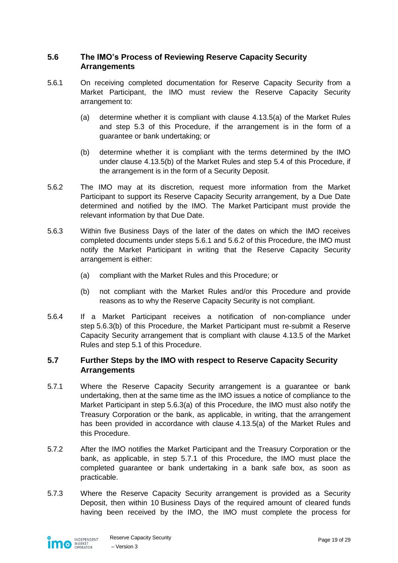### <span id="page-18-0"></span>**5.6 The IMO's Process of Reviewing Reserve Capacity Security Arrangements**

- <span id="page-18-2"></span>5.6.1 On receiving completed documentation for Reserve Capacity Security from a Market Participant, the IMO must review the Reserve Capacity Security arrangement to:
	- (a) determine whether it is compliant with clause 4.13.5(a) of the Market Rules and step [5.3](#page-15-1) of this Procedure, if the arrangement is in the form of a guarantee or bank undertaking; or
	- (b) determine whether it is compliant with the terms determined by the IMO under clause 4.13.5(b) of the Market Rules and step [5.4](#page-16-0) of this Procedure, if the arrangement is in the form of a Security Deposit.
- <span id="page-18-3"></span>5.6.2 The IMO may at its discretion, request more information from the Market Participant to support its Reserve Capacity Security arrangement, by a Due Date determined and notified by the IMO. The Market Participant must provide the relevant information by that Due Date.
- 5.6.3 Within five Business Days of the later of the dates on which the IMO receives completed documents under steps [5.6.1](#page-18-2) and [5.6.2](#page-18-3) of this Procedure, the IMO must notify the Market Participant in writing that the Reserve Capacity Security arrangement is either:
	- (a) compliant with the Market Rules and this Procedure; or
	- (b) not compliant with the Market Rules and/or this Procedure and provide reasons as to why the Reserve Capacity Security is not compliant.
- <span id="page-18-5"></span><span id="page-18-4"></span>5.6.4 If a Market Participant receives a notification of non-compliance under step [5.6.3\(b\)](#page-18-4) of this Procedure, the Market Participant must re-submit a Reserve Capacity Security arrangement that is compliant with clause 4.13.5 of the Market Rules and step [5.1](#page-14-1) of this Procedure.

#### <span id="page-18-1"></span>**5.7 Further Steps by the IMO with respect to Reserve Capacity Security Arrangements**

- <span id="page-18-6"></span>5.7.1 Where the Reserve Capacity Security arrangement is a guarantee or bank undertaking, then at the same time as the IMO issues a notice of compliance to the Market Participant in step [5.6.3\(a\)](#page-18-5) of this Procedure, the IMO must also notify the Treasury Corporation or the bank, as applicable, in writing, that the arrangement has been provided in accordance with clause 4.13.5(a) of the Market Rules and this Procedure.
- 5.7.2 After the IMO notifies the Market Participant and the Treasury Corporation or the bank, as applicable, in step [5.7.1](#page-18-6) of this Procedure, the IMO must place the completed guarantee or bank undertaking in a bank safe box, as soon as practicable.
- <span id="page-18-7"></span>5.7.3 Where the Reserve Capacity Security arrangement is provided as a Security Deposit, then within 10 Business Days of the required amount of cleared funds having been received by the IMO, the IMO must complete the process for

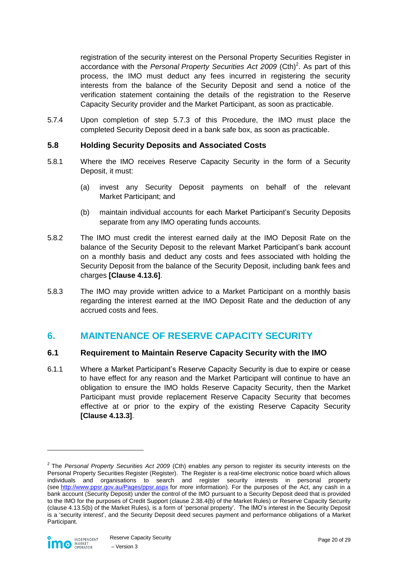registration of the security interest on the Personal Property Securities Register in accordance with the *Personal Property Securities Act 2009* (Cth)<sup>2</sup>. As part of this process, the IMO must deduct any fees incurred in registering the security interests from the balance of the Security Deposit and send a notice of the verification statement containing the details of the registration to the Reserve Capacity Security provider and the Market Participant, as soon as practicable.

5.7.4 Upon completion of step [5.7.3](#page-18-7) of this Procedure, the IMO must place the completed Security Deposit deed in a bank safe box, as soon as practicable.

#### <span id="page-19-0"></span>**5.8 Holding Security Deposits and Associated Costs**

- 5.8.1 Where the IMO receives Reserve Capacity Security in the form of a Security Deposit, it must:
	- (a) invest any Security Deposit payments on behalf of the relevant Market Participant; and
	- (b) maintain individual accounts for each Market Participant's Security Deposits separate from any IMO operating funds accounts.
- 5.8.2 The IMO must credit the interest earned daily at the IMO Deposit Rate on the balance of the Security Deposit to the relevant Market Participant's bank account on a monthly basis and deduct any costs and fees associated with holding the Security Deposit from the balance of the Security Deposit, including bank fees and charges **[Clause 4.13.6]**.
- 5.8.3 The IMO may provide written advice to a Market Participant on a monthly basis regarding the interest earned at the IMO Deposit Rate and the deduction of any accrued costs and fees.

## <span id="page-19-1"></span>**6. MAINTENANCE OF RESERVE CAPACITY SECURITY**

#### <span id="page-19-2"></span>**6.1 Requirement to Maintain Reserve Capacity Security with the IMO**

6.1.1 Where a Market Participant's Reserve Capacity Security is due to expire or cease to have effect for any reason and the Market Participant will continue to have an obligation to ensure the IMO holds Reserve Capacity Security, then the Market Participant must provide replacement Reserve Capacity Security that becomes effective at or prior to the expiry of the existing Reserve Capacity Security **[Clause 4.13.3]**.

<sup>2</sup> The *Personal Property Securities Act 2009* (Cth) enables any person to register its security interests on the Personal Property Securities Register (Register). The Register is a real-time electronic notice board which allows individuals and organisations to search and register security interests in personal property (see <http://www.ppsr.gov.au/Pages/ppsr.aspx> for more information). For the purposes of the Act, any cash in a bank account (Security Deposit) under the control of the IMO pursuant to a Security Deposit deed that is provided to the IMO for the purposes of Credit Support (clause 2.38.4(b) of the Market Rules) or Reserve Capacity Security (clause 4.13.5(b) of the Market Rules), is a form of 'personal property'. The IMO's interest in the Security Deposit is a 'security interest', and the Security Deposit deed secures payment and performance obligations of a Market Participant.



 $\overline{a}$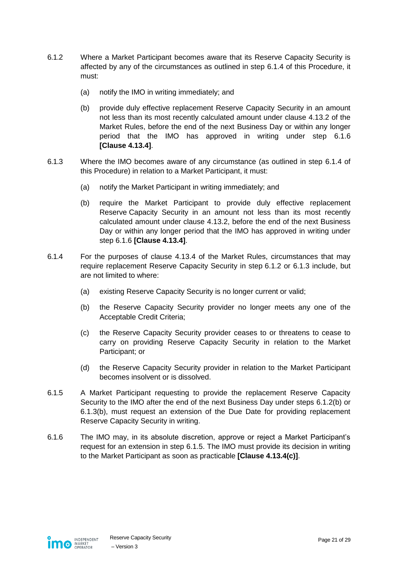- <span id="page-20-4"></span><span id="page-20-2"></span>6.1.2 Where a Market Participant becomes aware that its Reserve Capacity Security is affected by any of the circumstances as outlined in step [6.1.4](#page-20-0) of this Procedure, it must:
	- (a) notify the IMO in writing immediately; and
	- (b) provide duly effective replacement Reserve Capacity Security in an amount not less than its most recently calculated amount under clause 4.13.2 of the Market Rules, before the end of the next Business Day or within any longer period that the IMO has approved in writing under step [6.1.6](#page-20-1) **[Clause 4.13.4]**.
- <span id="page-20-5"></span><span id="page-20-3"></span>6.1.3 Where the IMO becomes aware of any circumstance (as outlined in step [6.1.4](#page-20-0) of this Procedure) in relation to a Market Participant, it must:
	- (a) notify the Market Participant in writing immediately; and
	- (b) require the Market Participant to provide duly effective replacement Reserve Capacity Security in an amount not less than its most recently calculated amount under clause 4.13.2, before the end of the next Business Day or within any longer period that the IMO has approved in writing under step [6.1.6](#page-20-1) **[Clause 4.13.4]**.
- <span id="page-20-0"></span>6.1.4 For the purposes of clause 4.13.4 of the Market Rules, circumstances that may require replacement Reserve Capacity Security in step [6.1.2](#page-20-2) or [6.1.3](#page-20-3) include, but are not limited to where:
	- (a) existing Reserve Capacity Security is no longer current or valid;
	- (b) the Reserve Capacity Security provider no longer meets any one of the Acceptable Credit Criteria;
	- (c) the Reserve Capacity Security provider ceases to or threatens to cease to carry on providing Reserve Capacity Security in relation to the Market Participant; or
	- (d) the Reserve Capacity Security provider in relation to the Market Participant becomes insolvent or is dissolved.
- <span id="page-20-6"></span>6.1.5 A Market Participant requesting to provide the replacement Reserve Capacity Security to the IMO after the end of the next Business Day under steps [6.1.2\(b\)](#page-20-4) or [6.1.3\(b\),](#page-20-5) must request an extension of the Due Date for providing replacement Reserve Capacity Security in writing.
- <span id="page-20-1"></span>6.1.6 The IMO may, in its absolute discretion, approve or reject a Market Participant's request for an extension in step [6.1.5.](#page-20-6) The IMO must provide its decision in writing to the Market Participant as soon as practicable **[Clause 4.13.4(c)]**.

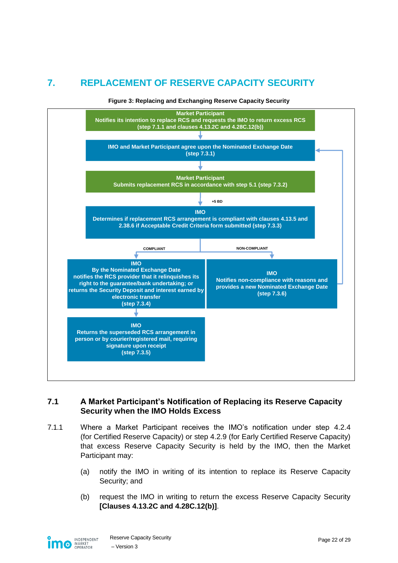# <span id="page-21-0"></span>**7. REPLACEMENT OF RESERVE CAPACITY SECURITY**

<span id="page-21-2"></span>

#### **Figure 3: Replacing and Exchanging Reserve Capacity Security**

#### <span id="page-21-1"></span>**7.1 A Market Participant's Notification of Replacing its Reserve Capacity Security when the IMO Holds Excess**

- <span id="page-21-3"></span>7.1.1 Where a Market Participant receives the IMO's notification under step [4.2.4](#page-12-5) (for Certified Reserve Capacity) or step [4.2.9](#page-13-2) (for Early Certified Reserve Capacity) that excess Reserve Capacity Security is held by the IMO, then the Market Participant may:
	- (a) notify the IMO in writing of its intention to replace its Reserve Capacity Security; and
	- (b) request the IMO in writing to return the excess Reserve Capacity Security **[Clauses 4.13.2C and 4.28C.12(b)]**.

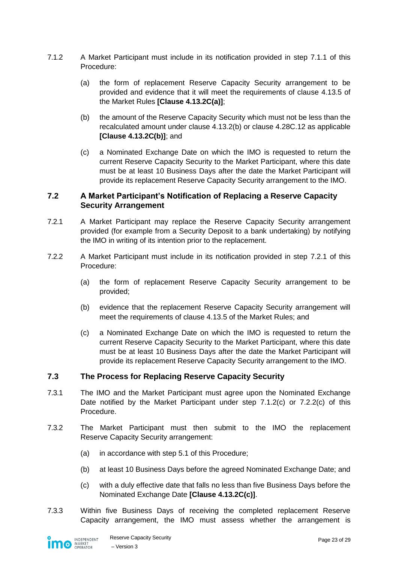- 7.1.2 A Market Participant must include in its notification provided in step [7.1.1](#page-21-3) of this Procedure:
	- (a) the form of replacement Reserve Capacity Security arrangement to be provided and evidence that it will meet the requirements of clause 4.13.5 of the Market Rules **[Clause 4.13.2C(a)]**;
	- (b) the amount of the Reserve Capacity Security which must not be less than the recalculated amount under clause 4.13.2(b) or clause 4.28C.12 as applicable **[Clause 4.13.2C(b)]**; and
	- (c) a Nominated Exchange Date on which the IMO is requested to return the current Reserve Capacity Security to the Market Participant, where this date must be at least 10 Business Days after the date the Market Participant will provide its replacement Reserve Capacity Security arrangement to the IMO.

#### <span id="page-22-3"></span><span id="page-22-0"></span>**7.2 A Market Participant's Notification of Replacing a Reserve Capacity Security Arrangement**

- <span id="page-22-2"></span>7.2.1 A Market Participant may replace the Reserve Capacity Security arrangement provided (for example from a Security Deposit to a bank undertaking) by notifying the IMO in writing of its intention prior to the replacement.
- 7.2.2 A Market Participant must include in its notification provided in step [7.2.1](#page-22-2) of this Procedure:
	- (a) the form of replacement Reserve Capacity Security arrangement to be provided;
	- (b) evidence that the replacement Reserve Capacity Security arrangement will meet the requirements of clause 4.13.5 of the Market Rules; and
	- (c) a Nominated Exchange Date on which the IMO is requested to return the current Reserve Capacity Security to the Market Participant, where this date must be at least 10 Business Days after the date the Market Participant will provide its replacement Reserve Capacity Security arrangement to the IMO.

#### <span id="page-22-4"></span><span id="page-22-1"></span>**7.3 The Process for Replacing Reserve Capacity Security**

- 7.3.1 The IMO and the Market Participant must agree upon the Nominated Exchange Date notified by the Market Participant under step [7.1.2\(c\)](#page-22-3) or [7.2.2\(c\)](#page-22-4) of this **Procedure**
- 7.3.2 The Market Participant must then submit to the IMO the replacement Reserve Capacity Security arrangement:
	- (a) in accordance with step [5.1](#page-14-1) of this Procedure;
	- (b) at least 10 Business Days before the agreed Nominated Exchange Date; and
	- (c) with a duly effective date that falls no less than five Business Days before the Nominated Exchange Date **[Clause 4.13.2C(c)]**.
- <span id="page-22-5"></span>7.3.3 Within five Business Days of receiving the completed replacement Reserve Capacity arrangement, the IMO must assess whether the arrangement is

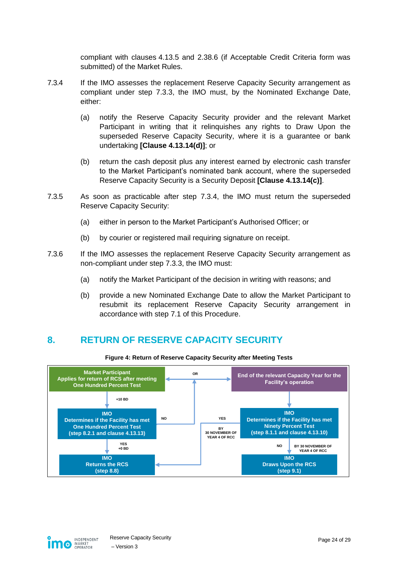compliant with clauses 4.13.5 and 2.38.6 (if Acceptable Credit Criteria form was submitted) of the Market Rules.

- <span id="page-23-3"></span>7.3.4 If the IMO assesses the replacement Reserve Capacity Security arrangement as compliant under step [7.3.3,](#page-22-5) the IMO must, by the Nominated Exchange Date, either:
	- (a) notify the Reserve Capacity Security provider and the relevant Market Participant in writing that it relinquishes any rights to Draw Upon the superseded Reserve Capacity Security, where it is a guarantee or bank undertaking **[Clause 4.13.14(d)]**; or
	- (b) return the cash deposit plus any interest earned by electronic cash transfer to the Market Participant's nominated bank account, where the superseded Reserve Capacity Security is a Security Deposit **[Clause 4.13.14(c)]**.
- 7.3.5 As soon as practicable after step [7.3.4,](#page-23-3) the IMO must return the superseded Reserve Capacity Security:
	- (a) either in person to the Market Participant's Authorised Officer; or
	- (b) by courier or registered mail requiring signature on receipt.
- 7.3.6 If the IMO assesses the replacement Reserve Capacity Security arrangement as non-compliant under step [7.3.3,](#page-22-5) the IMO must:
	- (a) notify the Market Participant of the decision in writing with reasons; and
	- (b) provide a new Nominated Exchange Date to allow the Market Participant to resubmit its replacement Reserve Capacity Security arrangement in accordance with step [7.1](#page-21-1) of this Procedure.

# <span id="page-23-0"></span>**8. RETURN OF RESERVE CAPACITY SECURITY**

<span id="page-23-1"></span>

**Figure 4: Return of Reserve Capacity Security after Meeting Tests**

<span id="page-23-2"></span>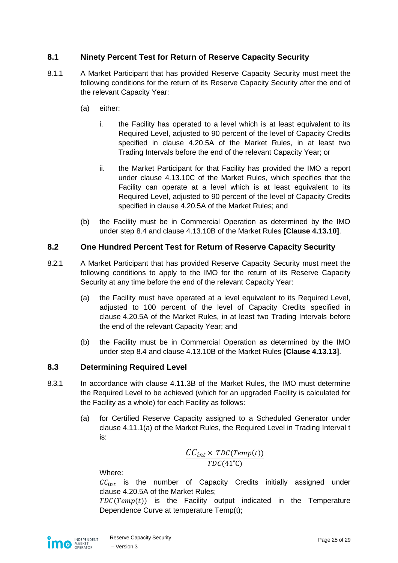### <span id="page-24-0"></span>**8.1 Ninety Percent Test for Return of Reserve Capacity Security**

- <span id="page-24-3"></span>8.1.1 A Market Participant that has provided Reserve Capacity Security must meet the following conditions for the return of its Reserve Capacity Security after the end of the relevant Capacity Year:
	- (a) either:
		- i. the Facility has operated to a level which is at least equivalent to its Required Level, adjusted to 90 percent of the level of Capacity Credits specified in clause 4.20.5A of the Market Rules, in at least two Trading Intervals before the end of the relevant Capacity Year; or
		- ii. the Market Participant for that Facility has provided the IMO a report under clause 4.13.10C of the Market Rules, which specifies that the Facility can operate at a level which is at least equivalent to its Required Level, adjusted to 90 percent of the level of Capacity Credits specified in clause 4.20.5A of the Market Rules; and
	- (b) the Facility must be in Commercial Operation as determined by the IMO under step [8.4](#page-25-0) and clause 4.13.10B of the Market Rules **[Clause 4.13.10]**.

#### <span id="page-24-6"></span><span id="page-24-1"></span>**8.2 One Hundred Percent Test for Return of Reserve Capacity Security**

- <span id="page-24-5"></span>8.2.1 A Market Participant that has provided Reserve Capacity Security must meet the following conditions to apply to the IMO for the return of its Reserve Capacity Security at any time before the end of the relevant Capacity Year:
	- (a) the Facility must have operated at a level equivalent to its Required Level, adjusted to 100 percent of the level of Capacity Credits specified in clause 4.20.5A of the Market Rules, in at least two Trading Intervals before the end of the relevant Capacity Year; and
	- (b) the Facility must be in Commercial Operation as determined by the IMO under step [8.4](#page-25-0) and clause 4.13.10B of the Market Rules **[Clause 4.13.13]**.

#### <span id="page-24-7"></span><span id="page-24-2"></span>**8.3 Determining Required Level**

- <span id="page-24-4"></span>8.3.1 In accordance with clause 4.11.3B of the Market Rules, the IMO must determine the Required Level to be achieved (which for an upgraded Facility is calculated for the Facility as a whole) for each Facility as follows:
	- (a) for Certified Reserve Capacity assigned to a Scheduled Generator under clause 4.11.1(a) of the Market Rules, the Required Level in Trading Interval t is:

$$
\frac{CC_{int} \times \mathit{TDC}(\mathit{Temp}(t))}{\mathit{TDC}(41^{\circ}\mathrm{C})}
$$

Where:

 $CC_{int}$  is the number of Capacity Credits initially assigned under clause 4.20.5A of the Market Rules;

 $TDC(Temp(t))$  is the Facility output indicated in the Temperature Dependence Curve at temperature Temp(t);

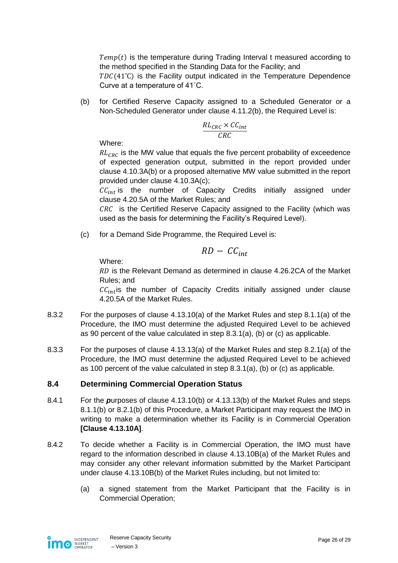$Temp(t)$  is the temperature during Trading Interval t measured according to the method specified in the Standing Data for the Facility; and  $TDC(41^{\circ}C)$  is the Facility output indicated in the Temperature Dependence

Curve at a temperature of 41˚C.

(b) for Certified Reserve Capacity assigned to a Scheduled Generator or a Non-Scheduled Generator under clause 4.11.2(b), the Required Level is:

$$
\frac{RL_{CRC} \times CC_{int}}{CRC}
$$

Where:

 $RL<sub>CRC</sub>$  is the MW value that equals the five percent probability of exceedence of expected generation output, submitted in the report provided under clause 4.10.3A(b) or a proposed alternative MW value submitted in the report provided under clause 4.10.3A(c);

 $CC_{int}$  is the number of Capacity Credits initially assigned under clause 4.20.5A of the Market Rules; and

 $CRC$  is the Certified Reserve Capacity assigned to the Facility (which was used as the basis for determining the Facility's Required Level).

(c) for a Demand Side Programme, the Required Level is:

$$
RD-CC_{int}
$$

Where:

RD is the Relevant Demand as determined in clause 4.26.2CA of the Market Rules; and

 $CC<sub>int</sub>$  is the number of Capacity Credits initially assigned under clause 4.20.5A of the Market Rules.

- 8.3.2 For the purposes of clause 4.13.10(a) of the Market Rules and step [8.1.1\(a\)](#page-24-3) of the Procedure, the IMO must determine the adjusted Required Level to be achieved as 90 percent of the value calculated in step [8.3.1\(](#page-24-4)a), (b) or (c) as applicable.
- 8.3.3 For the purposes of clause 4.13.13(a) of the Market Rules and step [8.2.1\(a\)](#page-24-5) of the Procedure, the IMO must determine the adjusted Required Level to be achieved as 100 percent of the value calculated in step [8.3.1\(](#page-24-4)a), (b) or (c) as applicable.

### <span id="page-25-0"></span>**8.4 Determining Commercial Operation Status**

- <span id="page-25-1"></span>8.4.1 For the *p*urposes of clause 4.13.10(b) or 4.13.13(b) of the Market Rules and steps [8.1.1\(b\)](#page-24-6) or [8.2.1\(b\)](#page-24-7) of this Procedure, a Market Participant may request the IMO in writing to make a determination whether its Facility is in Commercial Operation **[Clause 4.13.10A]**.
- <span id="page-25-2"></span>8.4.2 To decide whether a Facility is in Commercial Operation, the IMO must have regard to the information described in clause 4.13.10B(a) of the Market Rules and may consider any other relevant information submitted by the Market Participant under clause 4.13.10B(b) of the Market Rules including, but not limited to:
	- (a) a signed statement from the Market Participant that the Facility is in Commercial Operation;

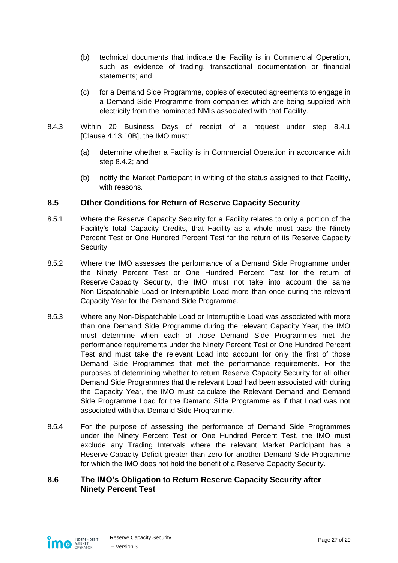- (b) technical documents that indicate the Facility is in Commercial Operation, such as evidence of trading, transactional documentation or financial statements; and
- (c) for a Demand Side Programme, copies of executed agreements to engage in a Demand Side Programme from companies which are being supplied with electricity from the nominated NMIs associated with that Facility.
- 8.4.3 Within 20 Business Days of receipt of a request under step [8.4.1](#page-25-1) [Clause 4.13.10B], the IMO must:
	- (a) determine whether a Facility is in Commercial Operation in accordance with step [8.4.2;](#page-25-2) and
	- (b) notify the Market Participant in writing of the status assigned to that Facility, with reasons.

#### <span id="page-26-0"></span>**8.5 Other Conditions for Return of Reserve Capacity Security**

- 8.5.1 Where the Reserve Capacity Security for a Facility relates to only a portion of the Facility's total Capacity Credits, that Facility as a whole must pass the Ninety Percent Test or One Hundred Percent Test for the return of its Reserve Capacity Security.
- 8.5.2 Where the IMO assesses the performance of a Demand Side Programme under the Ninety Percent Test or One Hundred Percent Test for the return of Reserve Capacity Security, the IMO must not take into account the same Non-Dispatchable Load or Interruptible Load more than once during the relevant Capacity Year for the Demand Side Programme.
- 8.5.3 Where any Non-Dispatchable Load or Interruptible Load was associated with more than one Demand Side Programme during the relevant Capacity Year, the IMO must determine when each of those Demand Side Programmes met the performance requirements under the Ninety Percent Test or One Hundred Percent Test and must take the relevant Load into account for only the first of those Demand Side Programmes that met the performance requirements. For the purposes of determining whether to return Reserve Capacity Security for all other Demand Side Programmes that the relevant Load had been associated with during the Capacity Year, the IMO must calculate the Relevant Demand and Demand Side Programme Load for the Demand Side Programme as if that Load was not associated with that Demand Side Programme.
- 8.5.4 For the purpose of assessing the performance of Demand Side Programmes under the Ninety Percent Test or One Hundred Percent Test, the IMO must exclude any Trading Intervals where the relevant Market Participant has a Reserve Capacity Deficit greater than zero for another Demand Side Programme for which the IMO does not hold the benefit of a Reserve Capacity Security.

#### <span id="page-26-1"></span>**8.6 The IMO's Obligation to Return Reserve Capacity Security after Ninety Percent Test**

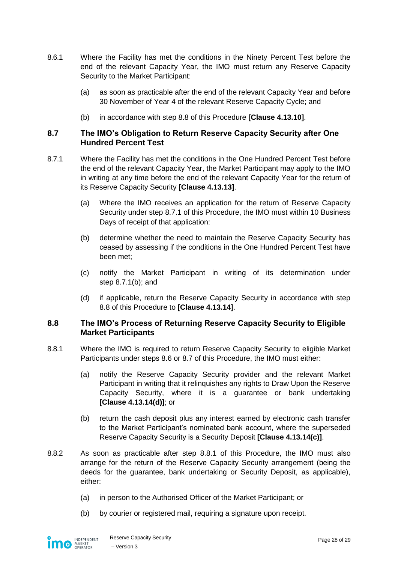- 8.6.1 Where the Facility has met the conditions in the Ninety Percent Test before the end of the relevant Capacity Year, the IMO must return any Reserve Capacity Security to the Market Participant:
	- (a) as soon as practicable after the end of the relevant Capacity Year and before 30 November of Year 4 of the relevant Reserve Capacity Cycle; and
	- (b) in accordance with step [8.8](#page-27-1) of this Procedure **[Clause 4.13.10]**.

#### <span id="page-27-0"></span>**8.7 The IMO's Obligation to Return Reserve Capacity Security after One Hundred Percent Test**

- <span id="page-27-3"></span><span id="page-27-2"></span>8.7.1 Where the Facility has met the conditions in the One Hundred Percent Test before the end of the relevant Capacity Year, the Market Participant may apply to the IMO in writing at any time before the end of the relevant Capacity Year for the return of its Reserve Capacity Security **[Clause 4.13.13]**.
	- (a) Where the IMO receives an application for the return of Reserve Capacity Security under step [8.7.1](#page-27-2) of this Procedure, the IMO must within 10 Business Days of receipt of that application:
	- (b) determine whether the need to maintain the Reserve Capacity Security has ceased by assessing if the conditions in the One Hundred Percent Test have been met;
	- (c) notify the Market Participant in writing of its determination under step [8.7.1\(b\);](#page-27-3) and
	- (d) if applicable, return the Reserve Capacity Security in accordance with step [8.8](#page-27-1) of this Procedure to **[Clause 4.13.14]**.

#### <span id="page-27-1"></span>**8.8 The IMO's Process of Returning Reserve Capacity Security to Eligible Market Participants**

- <span id="page-27-4"></span>8.8.1 Where the IMO is required to return Reserve Capacity Security to eligible Market Participants under steps [8.6](#page-26-1) or [8.7](#page-27-0) of this Procedure, the IMO must either:
	- (a) notify the Reserve Capacity Security provider and the relevant Market Participant in writing that it relinquishes any rights to Draw Upon the Reserve Capacity Security, where it is a guarantee or bank undertaking **[Clause 4.13.14(d)]**; or
	- (b) return the cash deposit plus any interest earned by electronic cash transfer to the Market Participant's nominated bank account, where the superseded Reserve Capacity Security is a Security Deposit **[Clause 4.13.14(c)]**.
- 8.8.2 As soon as practicable after step [8.8.1](#page-27-4) of this Procedure, the IMO must also arrange for the return of the Reserve Capacity Security arrangement (being the deeds for the guarantee, bank undertaking or Security Deposit, as applicable), either:
	- (a) in person to the Authorised Officer of the Market Participant; or
	- (b) by courier or registered mail, requiring a signature upon receipt.